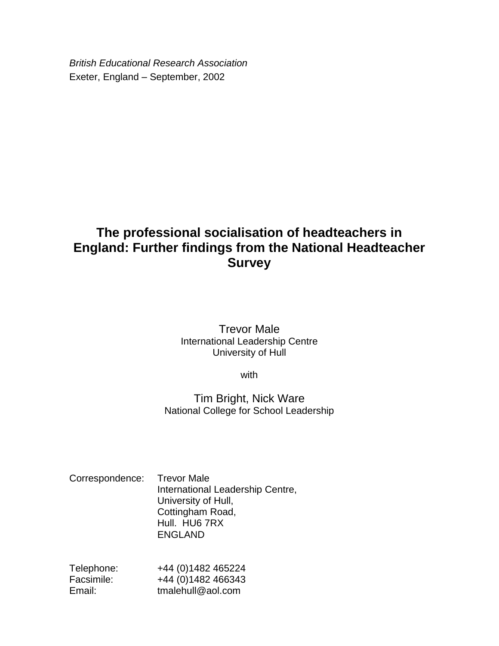*British Educational Research Association* Exeter, England – September, 2002

# **The professional socialisation of headteachers in England: Further findings from the National Headteacher Survey**

# Trevor Male International Leadership Centre University of Hull

with

# Tim Bright, Nick Ware National College for School Leadership

| Correspondence: Trevor Male |                                  |
|-----------------------------|----------------------------------|
|                             | International Leadership Centre, |
|                             | University of Hull,              |
|                             | Cottingham Road,                 |
|                             | Hull. HU6 7RX                    |
|                             | <b>ENGLAND</b>                   |

| Telephone: | +44 (0) 1482 465224 |
|------------|---------------------|
| Facsimile: | +44 (0) 1482 466343 |
| Email:     | tmalehull@aol.com   |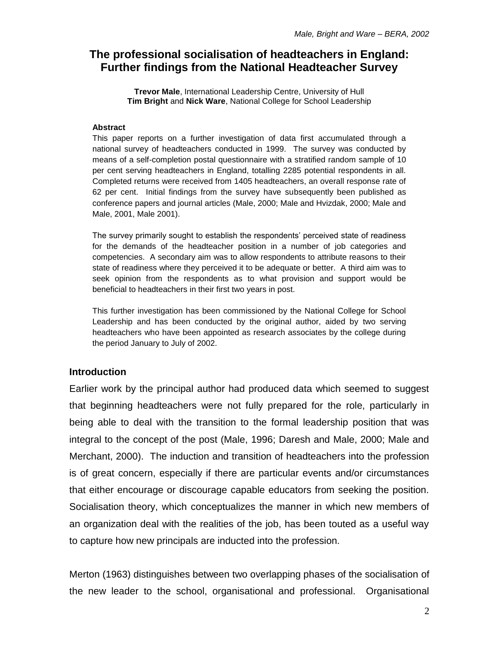# **The professional socialisation of headteachers in England: Further findings from the National Headteacher Survey**

**Trevor Male**, International Leadership Centre, University of Hull **Tim Bright** and **Nick Ware**, National College for School Leadership

#### **Abstract**

This paper reports on a further investigation of data first accumulated through a national survey of headteachers conducted in 1999. The survey was conducted by means of a self-completion postal questionnaire with a stratified random sample of 10 per cent serving headteachers in England, totalling 2285 potential respondents in all. Completed returns were received from 1405 headteachers, an overall response rate of 62 per cent. Initial findings from the survey have subsequently been published as conference papers and journal articles (Male, 2000; Male and Hvizdak, 2000; Male and Male, 2001, Male 2001).

The survey primarily sought to establish the respondents' perceived state of readiness for the demands of the headteacher position in a number of job categories and competencies. A secondary aim was to allow respondents to attribute reasons to their state of readiness where they perceived it to be adequate or better. A third aim was to seek opinion from the respondents as to what provision and support would be beneficial to headteachers in their first two years in post.

This further investigation has been commissioned by the National College for School Leadership and has been conducted by the original author, aided by two serving headteachers who have been appointed as research associates by the college during the period January to July of 2002.

### **Introduction**

Earlier work by the principal author had produced data which seemed to suggest that beginning headteachers were not fully prepared for the role, particularly in being able to deal with the transition to the formal leadership position that was integral to the concept of the post (Male, 1996; Daresh and Male, 2000; Male and Merchant, 2000). The induction and transition of headteachers into the profession is of great concern, especially if there are particular events and/or circumstances that either encourage or discourage capable educators from seeking the position. Socialisation theory, which conceptualizes the manner in which new members of an organization deal with the realities of the job, has been touted as a useful way to capture how new principals are inducted into the profession.

Merton (1963) distinguishes between two overlapping phases of the socialisation of the new leader to the school, organisational and professional. Organisational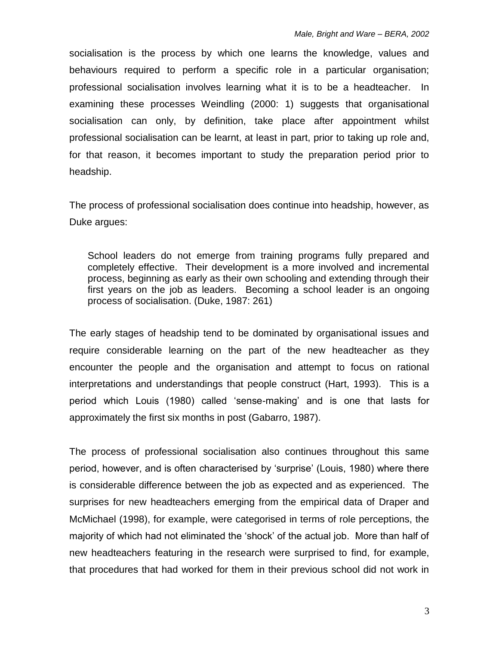socialisation is the process by which one learns the knowledge, values and behaviours required to perform a specific role in a particular organisation; professional socialisation involves learning what it is to be a headteacher. In examining these processes Weindling (2000: 1) suggests that organisational socialisation can only, by definition, take place after appointment whilst professional socialisation can be learnt, at least in part, prior to taking up role and, for that reason, it becomes important to study the preparation period prior to headship.

The process of professional socialisation does continue into headship, however, as Duke argues:

School leaders do not emerge from training programs fully prepared and completely effective. Their development is a more involved and incremental process, beginning as early as their own schooling and extending through their first years on the job as leaders. Becoming a school leader is an ongoing process of socialisation. (Duke, 1987: 261)

The early stages of headship tend to be dominated by organisational issues and require considerable learning on the part of the new headteacher as they encounter the people and the organisation and attempt to focus on rational interpretations and understandings that people construct (Hart, 1993). This is a period which Louis (1980) called 'sense-making' and is one that lasts for approximately the first six months in post (Gabarro, 1987).

The process of professional socialisation also continues throughout this same period, however, and is often characterised by 'surprise' (Louis, 1980) where there is considerable difference between the job as expected and as experienced. The surprises for new headteachers emerging from the empirical data of Draper and McMichael (1998), for example, were categorised in terms of role perceptions, the majority of which had not eliminated the 'shock' of the actual job. More than half of new headteachers featuring in the research were surprised to find, for example, that procedures that had worked for them in their previous school did not work in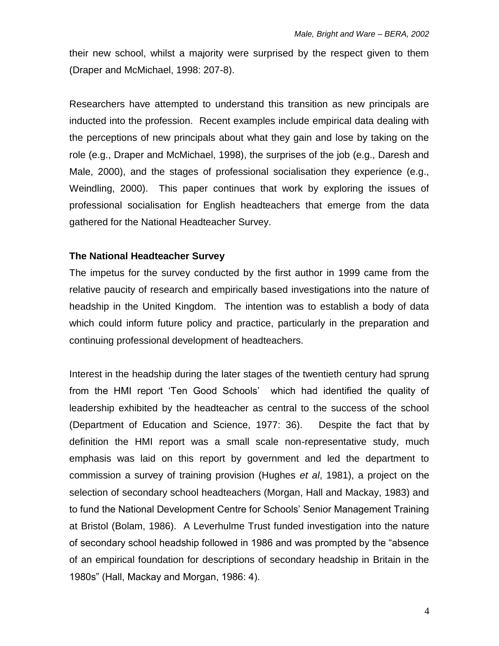their new school, whilst a majority were surprised by the respect given to them (Draper and McMichael, 1998: 207-8).

Researchers have attempted to understand this transition as new principals are inducted into the profession. Recent examples include empirical data dealing with the perceptions of new principals about what they gain and lose by taking on the role (e.g., Draper and McMichael, 1998), the surprises of the job (e.g., Daresh and Male, 2000), and the stages of professional socialisation they experience (e.g., Weindling, 2000). This paper continues that work by exploring the issues of professional socialisation for English headteachers that emerge from the data gathered for the National Headteacher Survey.

### **The National Headteacher Survey**

The impetus for the survey conducted by the first author in 1999 came from the relative paucity of research and empirically based investigations into the nature of headship in the United Kingdom. The intention was to establish a body of data which could inform future policy and practice, particularly in the preparation and continuing professional development of headteachers.

Interest in the headship during the later stages of the twentieth century had sprung from the HMI report 'Ten Good Schools' which had identified the quality of leadership exhibited by the headteacher as central to the success of the school (Department of Education and Science, 1977: 36). Despite the fact that by definition the HMI report was a small scale non-representative study, much emphasis was laid on this report by government and led the department to commission a survey of training provision (Hughes *et al*, 1981), a project on the selection of secondary school headteachers (Morgan, Hall and Mackay, 1983) and to fund the National Development Centre for Schools' Senior Management Training at Bristol (Bolam, 1986). A Leverhulme Trust funded investigation into the nature of secondary school headship followed in 1986 and was prompted by the "absence of an empirical foundation for descriptions of secondary headship in Britain in the 1980s" (Hall, Mackay and Morgan, 1986: 4).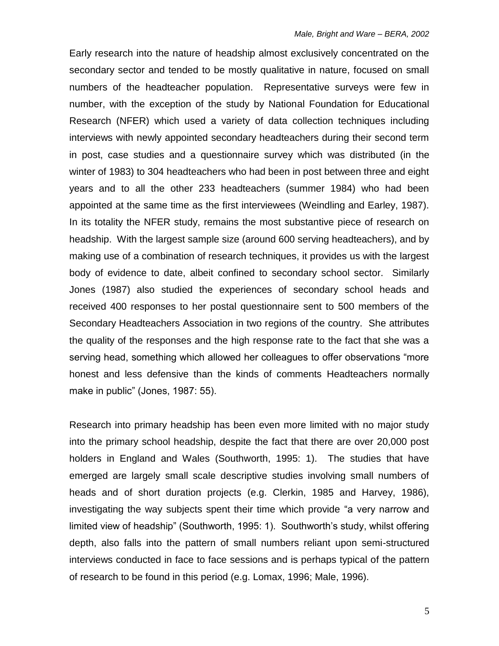Early research into the nature of headship almost exclusively concentrated on the secondary sector and tended to be mostly qualitative in nature, focused on small numbers of the headteacher population. Representative surveys were few in number, with the exception of the study by National Foundation for Educational Research (NFER) which used a variety of data collection techniques including interviews with newly appointed secondary headteachers during their second term in post, case studies and a questionnaire survey which was distributed (in the winter of 1983) to 304 headteachers who had been in post between three and eight years and to all the other 233 headteachers (summer 1984) who had been appointed at the same time as the first interviewees (Weindling and Earley, 1987). In its totality the NFER study, remains the most substantive piece of research on headship. With the largest sample size (around 600 serving headteachers), and by making use of a combination of research techniques, it provides us with the largest body of evidence to date, albeit confined to secondary school sector. Similarly Jones (1987) also studied the experiences of secondary school heads and received 400 responses to her postal questionnaire sent to 500 members of the Secondary Headteachers Association in two regions of the country. She attributes the quality of the responses and the high response rate to the fact that she was a serving head, something which allowed her colleagues to offer observations "more honest and less defensive than the kinds of comments Headteachers normally make in public" (Jones, 1987: 55).

Research into primary headship has been even more limited with no major study into the primary school headship, despite the fact that there are over 20,000 post holders in England and Wales (Southworth, 1995: 1). The studies that have emerged are largely small scale descriptive studies involving small numbers of heads and of short duration projects (e.g. Clerkin, 1985 and Harvey, 1986), investigating the way subjects spent their time which provide "a very narrow and limited view of headship" (Southworth, 1995: 1). Southworth's study, whilst offering depth, also falls into the pattern of small numbers reliant upon semi-structured interviews conducted in face to face sessions and is perhaps typical of the pattern of research to be found in this period (e.g. Lomax, 1996; Male, 1996).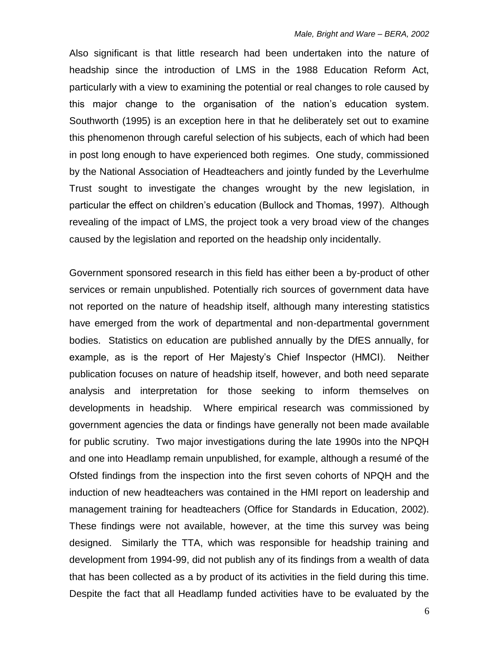Also significant is that little research had been undertaken into the nature of headship since the introduction of LMS in the 1988 Education Reform Act, particularly with a view to examining the potential or real changes to role caused by this major change to the organisation of the nation's education system. Southworth (1995) is an exception here in that he deliberately set out to examine this phenomenon through careful selection of his subjects, each of which had been in post long enough to have experienced both regimes. One study, commissioned by the National Association of Headteachers and jointly funded by the Leverhulme Trust sought to investigate the changes wrought by the new legislation, in particular the effect on children's education (Bullock and Thomas, 1997). Although revealing of the impact of LMS, the project took a very broad view of the changes caused by the legislation and reported on the headship only incidentally.

Government sponsored research in this field has either been a by-product of other services or remain unpublished. Potentially rich sources of government data have not reported on the nature of headship itself, although many interesting statistics have emerged from the work of departmental and non-departmental government bodies. Statistics on education are published annually by the DfES annually, for example, as is the report of Her Majesty's Chief Inspector (HMCI). Neither publication focuses on nature of headship itself, however, and both need separate analysis and interpretation for those seeking to inform themselves on developments in headship. Where empirical research was commissioned by government agencies the data or findings have generally not been made available for public scrutiny. Two major investigations during the late 1990s into the NPQH and one into Headlamp remain unpublished, for example, although a resumé of the Ofsted findings from the inspection into the first seven cohorts of NPQH and the induction of new headteachers was contained in the HMI report on leadership and management training for headteachers (Office for Standards in Education, 2002). These findings were not available, however, at the time this survey was being designed. Similarly the TTA, which was responsible for headship training and development from 1994-99, did not publish any of its findings from a wealth of data that has been collected as a by product of its activities in the field during this time. Despite the fact that all Headlamp funded activities have to be evaluated by the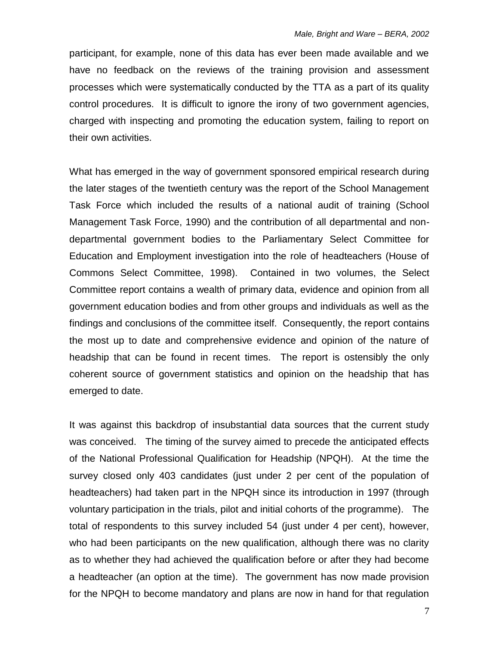participant, for example, none of this data has ever been made available and we have no feedback on the reviews of the training provision and assessment processes which were systematically conducted by the TTA as a part of its quality control procedures. It is difficult to ignore the irony of two government agencies, charged with inspecting and promoting the education system, failing to report on their own activities.

What has emerged in the way of government sponsored empirical research during the later stages of the twentieth century was the report of the School Management Task Force which included the results of a national audit of training (School Management Task Force, 1990) and the contribution of all departmental and nondepartmental government bodies to the Parliamentary Select Committee for Education and Employment investigation into the role of headteachers (House of Commons Select Committee, 1998). Contained in two volumes, the Select Committee report contains a wealth of primary data, evidence and opinion from all government education bodies and from other groups and individuals as well as the findings and conclusions of the committee itself. Consequently, the report contains the most up to date and comprehensive evidence and opinion of the nature of headship that can be found in recent times. The report is ostensibly the only coherent source of government statistics and opinion on the headship that has emerged to date.

It was against this backdrop of insubstantial data sources that the current study was conceived. The timing of the survey aimed to precede the anticipated effects of the National Professional Qualification for Headship (NPQH). At the time the survey closed only 403 candidates (just under 2 per cent of the population of headteachers) had taken part in the NPQH since its introduction in 1997 (through voluntary participation in the trials, pilot and initial cohorts of the programme). The total of respondents to this survey included 54 (just under 4 per cent), however, who had been participants on the new qualification, although there was no clarity as to whether they had achieved the qualification before or after they had become a headteacher (an option at the time). The government has now made provision for the NPQH to become mandatory and plans are now in hand for that regulation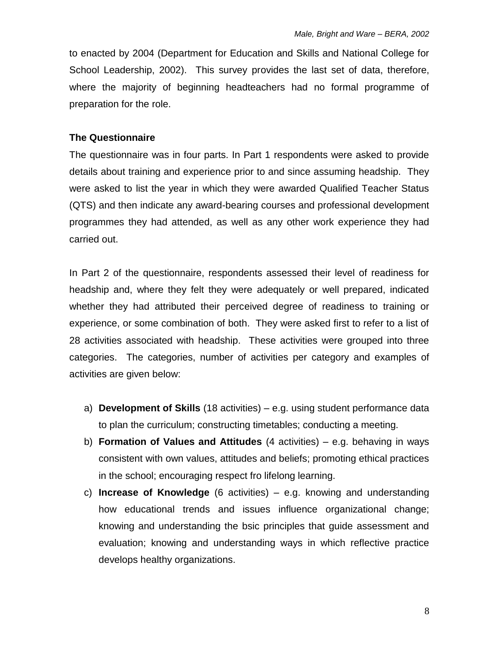to enacted by 2004 (Department for Education and Skills and National College for School Leadership, 2002). This survey provides the last set of data, therefore, where the majority of beginning headteachers had no formal programme of preparation for the role.

### **The Questionnaire**

The questionnaire was in four parts. In Part 1 respondents were asked to provide details about training and experience prior to and since assuming headship. They were asked to list the year in which they were awarded Qualified Teacher Status (QTS) and then indicate any award-bearing courses and professional development programmes they had attended, as well as any other work experience they had carried out.

In Part 2 of the questionnaire, respondents assessed their level of readiness for headship and, where they felt they were adequately or well prepared, indicated whether they had attributed their perceived degree of readiness to training or experience, or some combination of both. They were asked first to refer to a list of 28 activities associated with headship. These activities were grouped into three categories. The categories, number of activities per category and examples of activities are given below:

- a) **Development of Skills** (18 activities) e.g. using student performance data to plan the curriculum; constructing timetables; conducting a meeting.
- b) **Formation of Values and Attitudes** (4 activities) e.g. behaving in ways consistent with own values, attitudes and beliefs; promoting ethical practices in the school; encouraging respect fro lifelong learning.
- c) **Increase of Knowledge** (6 activities) e.g. knowing and understanding how educational trends and issues influence organizational change; knowing and understanding the bsic principles that guide assessment and evaluation; knowing and understanding ways in which reflective practice develops healthy organizations.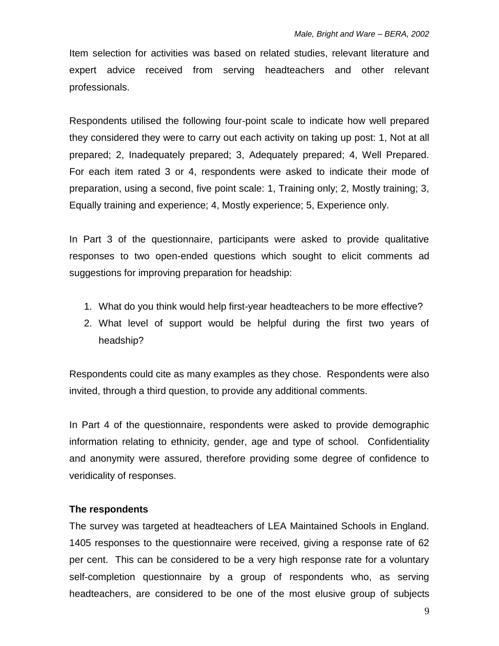Item selection for activities was based on related studies, relevant literature and expert advice received from serving headteachers and other relevant professionals.

Respondents utilised the following four-point scale to indicate how well prepared they considered they were to carry out each activity on taking up post: 1, Not at all prepared; 2, Inadequately prepared; 3, Adequately prepared; 4, Well Prepared. For each item rated 3 or 4, respondents were asked to indicate their mode of preparation, using a second, five point scale: 1, Training only; 2, Mostly training; 3, Equally training and experience; 4, Mostly experience; 5, Experience only.

In Part 3 of the questionnaire, participants were asked to provide qualitative responses to two open-ended questions which sought to elicit comments ad suggestions for improving preparation for headship:

- 1. What do you think would help first-year headteachers to be more effective?
- 2. What level of support would be helpful during the first two years of headship?

Respondents could cite as many examples as they chose. Respondents were also invited, through a third question, to provide any additional comments.

In Part 4 of the questionnaire, respondents were asked to provide demographic information relating to ethnicity, gender, age and type of school. Confidentiality and anonymity were assured, therefore providing some degree of confidence to veridicality of responses.

### **The respondents**

The survey was targeted at headteachers of LEA Maintained Schools in England. 1405 responses to the questionnaire were received, giving a response rate of 62 per cent. This can be considered to be a very high response rate for a voluntary self-completion questionnaire by a group of respondents who, as serving headteachers, are considered to be one of the most elusive group of subjects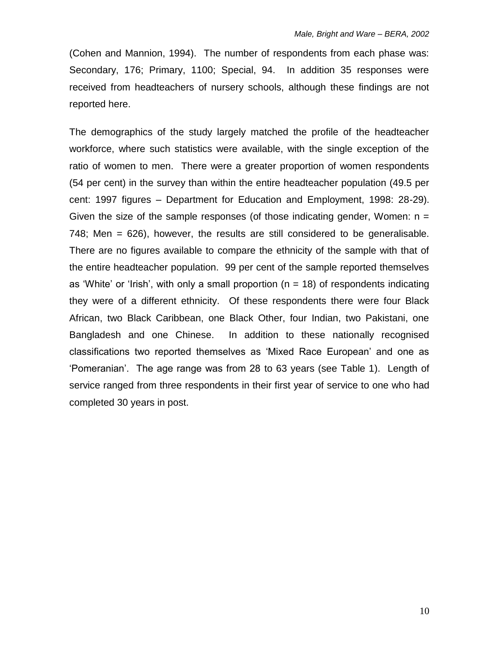(Cohen and Mannion, 1994). The number of respondents from each phase was: Secondary, 176; Primary, 1100; Special, 94. In addition 35 responses were received from headteachers of nursery schools, although these findings are not reported here.

The demographics of the study largely matched the profile of the headteacher workforce, where such statistics were available, with the single exception of the ratio of women to men. There were a greater proportion of women respondents (54 per cent) in the survey than within the entire headteacher population (49.5 per cent: 1997 figures – Department for Education and Employment, 1998: 28-29). Given the size of the sample responses (of those indicating gender, Women:  $n =$ 748; Men = 626), however, the results are still considered to be generalisable. There are no figures available to compare the ethnicity of the sample with that of the entire headteacher population. 99 per cent of the sample reported themselves as 'White' or 'Irish', with only a small proportion ( $n = 18$ ) of respondents indicating they were of a different ethnicity. Of these respondents there were four Black African, two Black Caribbean, one Black Other, four Indian, two Pakistani, one Bangladesh and one Chinese. In addition to these nationally recognised classifications two reported themselves as 'Mixed Race European' and one as 'Pomeranian'. The age range was from 28 to 63 years (see Table 1). Length of service ranged from three respondents in their first year of service to one who had completed 30 years in post.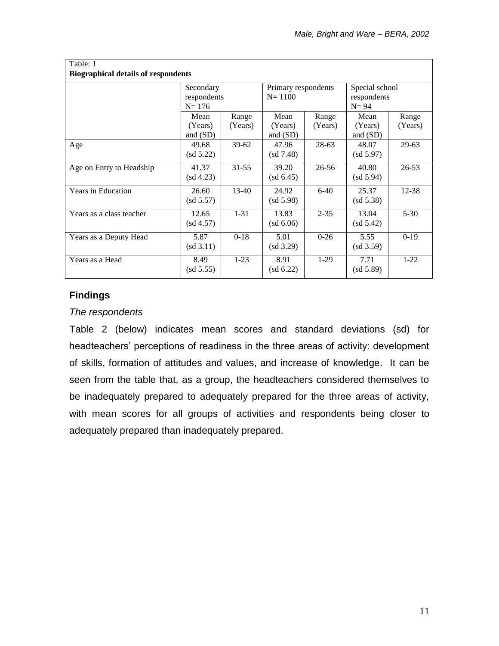| Table: 1<br><b>Biographical details of respondents</b> |                                         |                  |                                           |                  |                                           |                  |  |  |  |  |  |  |
|--------------------------------------------------------|-----------------------------------------|------------------|-------------------------------------------|------------------|-------------------------------------------|------------------|--|--|--|--|--|--|
|                                                        | Secondary<br>respondents<br>$N = 176$   |                  | Primary respondents<br>$N = 1100$         |                  | Special school<br>respondents<br>$N = 94$ |                  |  |  |  |  |  |  |
|                                                        | Mean<br>(Years)<br>and (SD)             | Range<br>(Years) | Mean<br>(Years)<br>and $(SD)$             | Range<br>(Years) | Mean<br>(Years)<br>and $(SD)$             | Range<br>(Years) |  |  |  |  |  |  |
| Age                                                    | 49.68<br>$\left(\text{sd } 5.22\right)$ | $39-62$          | 47.96<br>$\left(\mathrm{sd}\ 7.48\right)$ | 28-63            | 48.07<br>(sd 5.97)                        | $29-63$          |  |  |  |  |  |  |
| Age on Entry to Headship                               | 41.37<br>(sd 4.23)                      | $31 - 55$        | 39.20<br>$(sd\;6.45)$                     | 26-56            | 40.80<br>(sd 5.94)                        | $26 - 53$        |  |  |  |  |  |  |
| <b>Years in Education</b>                              | 26.60<br>(sd 5.57)                      | $13 - 40$        | 24.92<br>(sd 5.98)                        | $6 - 40$         | 25.37<br>$(sd\ 5.38)$                     | 12-38            |  |  |  |  |  |  |
| Years as a class teacher                               | 12.65<br>(sd 4.57)                      | $1 - 31$         | 13.83<br>$(sd\ 6.06)$                     | $2 - 35$         | 13.04<br>$\left( \text{sd } 5.42 \right)$ | $5 - 30$         |  |  |  |  |  |  |
| Years as a Deputy Head                                 | 5.87<br>(sd 3.11)                       | $0 - 18$         | 5.01<br>(sd 3.29)                         | $0 - 26$         | 5.55<br>(sd 3.59)                         | $0-19$           |  |  |  |  |  |  |
| Years as a Head                                        | 8.49<br>(sd 5.55)                       | $1-23$           | 8.91<br>$(sd\;6.22)$                      | $1-29$           | 7.71<br>(sd 5.89)                         | $1 - 22$         |  |  |  |  |  |  |

# **Findings**

### *The respondents*

Table 2 (below) indicates mean scores and standard deviations (sd) for headteachers' perceptions of readiness in the three areas of activity: development of skills, formation of attitudes and values, and increase of knowledge. It can be seen from the table that, as a group, the headteachers considered themselves to be inadequately prepared to adequately prepared for the three areas of activity, with mean scores for all groups of activities and respondents being closer to adequately prepared than inadequately prepared.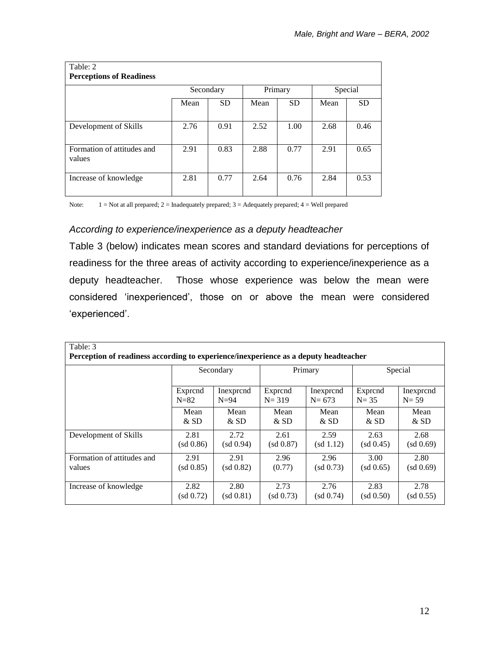| Table: 2<br><b>Perceptions of Readiness</b> |           |           |      |           |         |           |
|---------------------------------------------|-----------|-----------|------|-----------|---------|-----------|
|                                             | Secondary |           |      | Primary   | Special |           |
|                                             | Mean      | <b>SD</b> | Mean | <b>SD</b> | Mean    | <b>SD</b> |
| Development of Skills                       | 2.76      | 0.91      | 2.52 | 1.00      | 2.68    | 0.46      |
| Formation of attitudes and<br>values        | 2.91      | 0.83      | 2.88 | 0.77      | 2.91    | 0.65      |
| Increase of knowledge                       | 2.81      | 0.77      | 2.64 | 0.76      | 2.84    | 0.53      |

Note: 1 = Not at all prepared; 2 = Inadequately prepared; 3 = Adequately prepared; 4 = Well prepared

### *According to experience/inexperience as a deputy headteacher*

Table 3 (below) indicates mean scores and standard deviations for perceptions of readiness for the three areas of activity according to experience/inexperience as a deputy headteacher. Those whose experience was below the mean were considered 'inexperienced', those on or above the mean were considered 'experienced'.

| Table: 3<br>Perception of readiness according to experience/inexperience as a deputy headteacher |              |           |           |              |              |              |  |  |  |  |  |  |
|--------------------------------------------------------------------------------------------------|--------------|-----------|-----------|--------------|--------------|--------------|--|--|--|--|--|--|
|                                                                                                  | Secondary    |           |           | Primary      | Special      |              |  |  |  |  |  |  |
|                                                                                                  | Exprend      | Inexprend | Exprend   | Inexprend    | Exprend      | Inexprend    |  |  |  |  |  |  |
|                                                                                                  | $N=82$       | $N=94$    | $N = 319$ | $N = 673$    | $N = 35$     | $N=59$       |  |  |  |  |  |  |
|                                                                                                  | Mean         | Mean      | Mean      | Mean         | Mean         | Mean         |  |  |  |  |  |  |
|                                                                                                  | $&$ SD       | $&$ SD    | $&$ SD    | $&$ SD       | $&$ SD       | $&$ SD       |  |  |  |  |  |  |
| Development of Skills                                                                            | 2.81         | 2.72      | 2.61      | 2.59         | 2.63         | 2.68         |  |  |  |  |  |  |
|                                                                                                  | (sd 0.86)    | (sd 0.94) | (sd 0.87) | (sd 1.12)    | (sd 0.45)    | $(sd\;0.69)$ |  |  |  |  |  |  |
| Formation of attitudes and                                                                       | 2.91         | 2.91      | 2.96      | 2.96         | 3.00         | 2.80         |  |  |  |  |  |  |
| values                                                                                           | $(sd\;0.85)$ | (sd 0.82) | (0.77)    | $(sd\,0.73)$ | (sd 0.65)    | $(sd\;0.69)$ |  |  |  |  |  |  |
| Increase of knowledge                                                                            | 2.82         | 2.80      | 2.73      | 2.76         | 2.83         | 2.78         |  |  |  |  |  |  |
|                                                                                                  | (sd 0.72)    | (sd 0.81) | (sd 0.73) | (sd 0.74)    | $(sd\;0.50)$ | $(sd\;0.55)$ |  |  |  |  |  |  |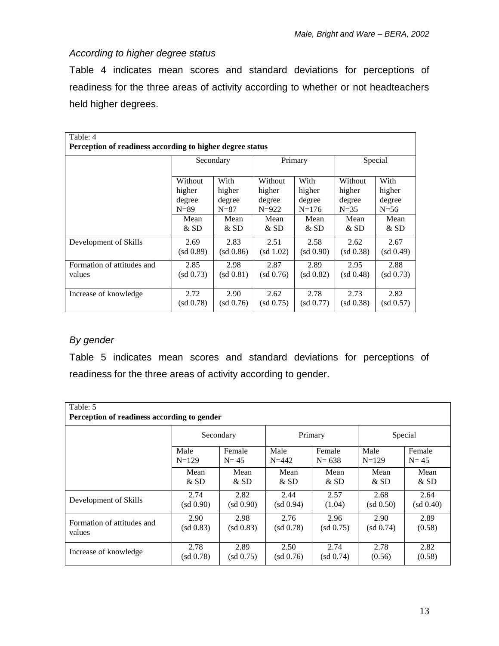### *According to higher degree status*

Table 4 indicates mean scores and standard deviations for perceptions of readiness for the three areas of activity according to whether or not headteachers held higher degrees.

| Table: 4                                                  |              |           |              |              |              |           |  |  |  |  |  |  |
|-----------------------------------------------------------|--------------|-----------|--------------|--------------|--------------|-----------|--|--|--|--|--|--|
| Perception of readiness according to higher degree status |              |           |              |              |              |           |  |  |  |  |  |  |
|                                                           | Secondary    |           |              | Primary      | Special      |           |  |  |  |  |  |  |
|                                                           |              |           |              |              |              |           |  |  |  |  |  |  |
|                                                           | Without      | With      | Without      | With         | Without      | With      |  |  |  |  |  |  |
|                                                           | higher       | higher    | higher       | higher       | higher       | higher    |  |  |  |  |  |  |
|                                                           | degree       | degree    | degree       | degree       | degree       | degree    |  |  |  |  |  |  |
|                                                           | $N=89$       | $N = 87$  | $N=922$      | $N=176$      | $N=35$       | $N=56$    |  |  |  |  |  |  |
|                                                           | Mean         | Mean      | Mean         | Mean         | Mean         | Mean      |  |  |  |  |  |  |
|                                                           | & SD         | $&$ SD    | $&$ SD       | $&$ SD       | $&$ SD       | $&$ SD    |  |  |  |  |  |  |
| Development of Skills                                     | 2.69         | 2.83      | 2.51         | 2.58         | 2.62         | 2.67      |  |  |  |  |  |  |
|                                                           | $(sd\;0.89)$ | (sd 0.86) | (sd 1.02)    | (sd 0.90)    | $(sd\;0.38)$ | (sd 0.49) |  |  |  |  |  |  |
| Formation of attitudes and                                | 2.85         | 2.98      | 2.87         | 2.89         | 2.95         | 2.88      |  |  |  |  |  |  |
| values                                                    | $(sd\;0.73)$ | (sd 0.81) | (sd 0.76)    | (sd 0.82)    | (sd 0.48)    | (sd 0.73) |  |  |  |  |  |  |
|                                                           |              |           |              |              |              |           |  |  |  |  |  |  |
| Increase of knowledge                                     | 2.72         | 2.90      | 2.62         | 2.78         | 2.73         | 2.82      |  |  |  |  |  |  |
|                                                           | (sd 0.78)    | (sd 0.76) | $(sd\,0.75)$ | $(sd\;0.77)$ | (sd 0.38)    | (sd 0.57) |  |  |  |  |  |  |

# *By gender*

Table 5 indicates mean scores and standard deviations for perceptions of readiness for the three areas of activity according to gender.

| Table: 5<br>Perception of readiness according to gender |           |              |           |              |              |           |  |  |  |  |  |  |
|---------------------------------------------------------|-----------|--------------|-----------|--------------|--------------|-----------|--|--|--|--|--|--|
|                                                         |           | Secondary    | Primary   |              | Special      |           |  |  |  |  |  |  |
|                                                         | Male      | Female       | Male      | Female       | Male         | Female    |  |  |  |  |  |  |
|                                                         | $N=129$   | $N = 45$     | $N = 442$ | $N = 638$    | $N=129$      | $N=45$    |  |  |  |  |  |  |
|                                                         | Mean      | Mean         | Mean      | Mean         | Mean         | Mean      |  |  |  |  |  |  |
|                                                         | $&$ SD    | $&$ SD       | & SD      | $&$ SD       | $&$ SD       | & SD      |  |  |  |  |  |  |
| Development of Skills                                   | 2.74      | 2.82         | 2.44      | 2.57         | 2.68         | 2.64      |  |  |  |  |  |  |
|                                                         | (sd 0.90) | (sd 0.90)    | (sd 0.94) | (1.04)       | $(sd\;0.50)$ | (sd 0.40) |  |  |  |  |  |  |
| Formation of attitudes and                              | 2.90      | 2.98         | 2.76      | 2.96         | 2.90         | 2.89      |  |  |  |  |  |  |
| values                                                  | (sd 0.83) | $(sd\;0.83)$ | (sd 0.78) | (sd 0.75)    | $(sd\;0.74)$ | (0.58)    |  |  |  |  |  |  |
| Increase of knowledge                                   | 2.78      | 2.89         | 2.50      | 2.74         | 2.78         | 2.82      |  |  |  |  |  |  |
|                                                         | (sd 0.78) | $(sd\,0.75)$ | (sd 0.76) | $(sd\;0.74)$ | (0.56)       | (0.58)    |  |  |  |  |  |  |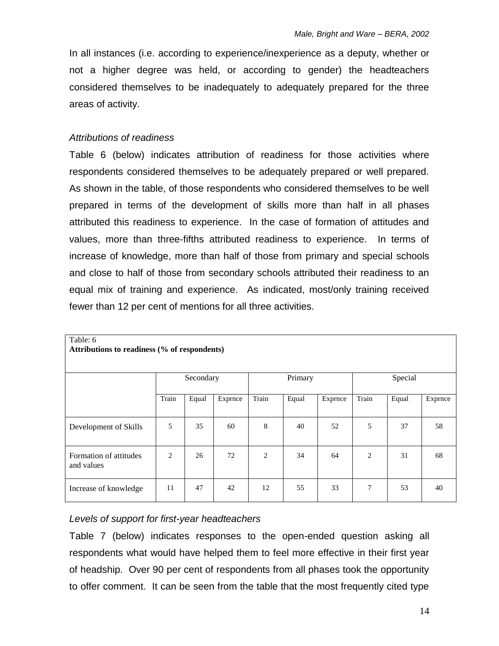In all instances (i.e. according to experience/inexperience as a deputy, whether or not a higher degree was held, or according to gender) the headteachers considered themselves to be inadequately to adequately prepared for the three areas of activity.

### *Attributions of readiness*

Table 6 (below) indicates attribution of readiness for those activities where respondents considered themselves to be adequately prepared or well prepared. As shown in the table, of those respondents who considered themselves to be well prepared in terms of the development of skills more than half in all phases attributed this readiness to experience. In the case of formation of attitudes and values, more than three-fifths attributed readiness to experience. In terms of increase of knowledge, more than half of those from primary and special schools and close to half of those from secondary schools attributed their readiness to an equal mix of training and experience. As indicated, most/only training received fewer than 12 per cent of mentions for all three activities.

| Table: 6<br>Attributions to readiness (% of respondents) |                |           |         |                |         |         |                |         |         |  |  |  |  |
|----------------------------------------------------------|----------------|-----------|---------|----------------|---------|---------|----------------|---------|---------|--|--|--|--|
|                                                          |                | Secondary |         |                | Primary |         |                | Special |         |  |  |  |  |
|                                                          | Train          | Equal     | Exprnce | Train          | Equal   | Exprnce | Train          | Equal   | Exprnce |  |  |  |  |
| Development of Skills                                    | 5              | 35        | 60      | 8              | 40      | 52      | 5              | 37      | 58      |  |  |  |  |
| Formation of attitudes<br>and values                     | $\overline{c}$ | 26        | 72      | $\overline{2}$ | 34      | 64      | $\overline{2}$ | 31      | 68      |  |  |  |  |
| Increase of knowledge                                    | 11             | 47        | 42      | 12             | 55      | 33      | 7              | 53      | 40      |  |  |  |  |

### *Levels of support for first-year headteachers*

Table 7 (below) indicates responses to the open-ended question asking all respondents what would have helped them to feel more effective in their first year of headship. Over 90 per cent of respondents from all phases took the opportunity to offer comment. It can be seen from the table that the most frequently cited type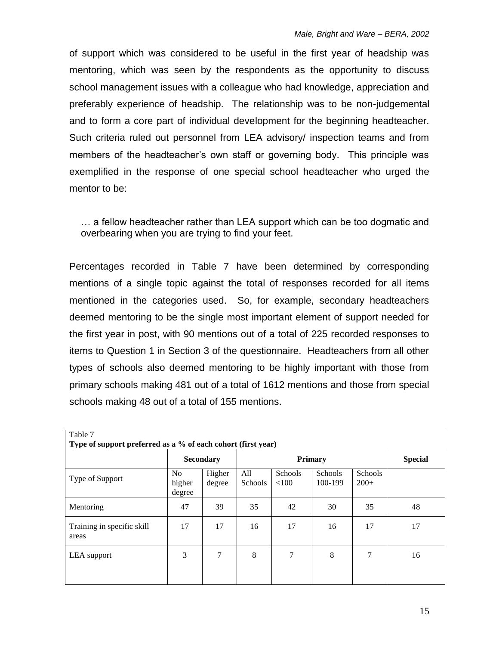of support which was considered to be useful in the first year of headship was mentoring, which was seen by the respondents as the opportunity to discuss school management issues with a colleague who had knowledge, appreciation and preferably experience of headship. The relationship was to be non-judgemental and to form a core part of individual development for the beginning headteacher. Such criteria ruled out personnel from LEA advisory/ inspection teams and from members of the headteacher's own staff or governing body. This principle was exemplified in the response of one special school headteacher who urged the mentor to be:

… a fellow headteacher rather than LEA support which can be too dogmatic and overbearing when you are trying to find your feet.

Percentages recorded in Table 7 have been determined by corresponding mentions of a single topic against the total of responses recorded for all items mentioned in the categories used. So, for example, secondary headteachers deemed mentoring to be the single most important element of support needed for the first year in post, with 90 mentions out of a total of 225 recorded responses to items to Question 1 in Section 3 of the questionnaire. Headteachers from all other types of schools also deemed mentoring to be highly important with those from primary schools making 481 out of a total of 1612 mentions and those from special schools making 48 out of a total of 155 mentions.

| Table 7<br>Type of support preferred as a % of each cohort (first year) |                                    |                  |                       |                         |                           |                          |                |  |  |  |  |  |
|-------------------------------------------------------------------------|------------------------------------|------------------|-----------------------|-------------------------|---------------------------|--------------------------|----------------|--|--|--|--|--|
|                                                                         | <b>Secondary</b>                   |                  |                       |                         | <b>Primary</b>            |                          | <b>Special</b> |  |  |  |  |  |
| Type of Support                                                         | N <sub>o</sub><br>higher<br>degree | Higher<br>degree | All<br><b>Schools</b> | <b>Schools</b><br>< 100 | <b>Schools</b><br>100-199 | <b>Schools</b><br>$200+$ |                |  |  |  |  |  |
| Mentoring                                                               | 47                                 | 39               | 35                    | 42                      | 30                        | 35                       | 48             |  |  |  |  |  |
| Training in specific skill<br>areas                                     | 17                                 | 17               | 16                    | 17                      | 16                        | 17                       | 17             |  |  |  |  |  |
| LEA support                                                             | 3                                  | 7                | 8                     | 7                       | 8                         | 7                        | 16             |  |  |  |  |  |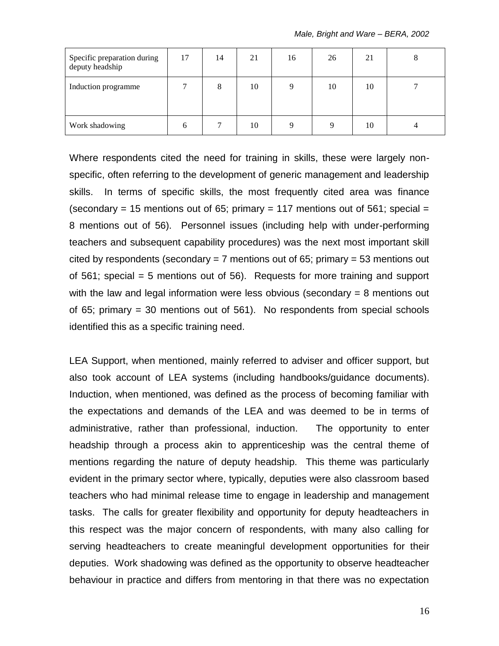| Specific preparation during<br>deputy headship | 17 | 14 | 21 | 16 | 26 | 21 | Õ |
|------------------------------------------------|----|----|----|----|----|----|---|
| Induction programme                            |    | 8  | 10 | Q  | 10 | 10 |   |
| Work shadowing                                 | b  |    | 10 | Q  |    | 10 |   |

Where respondents cited the need for training in skills, these were largely nonspecific, often referring to the development of generic management and leadership skills. In terms of specific skills, the most frequently cited area was finance (secondary = 15 mentions out of 65; primary = 117 mentions out of 561; special = 8 mentions out of 56). Personnel issues (including help with under-performing teachers and subsequent capability procedures) was the next most important skill cited by respondents (secondary  $= 7$  mentions out of 65; primary  $= 53$  mentions out of 561; special = 5 mentions out of 56). Requests for more training and support with the law and legal information were less obvious (secondary = 8 mentions out of 65; primary = 30 mentions out of 561). No respondents from special schools identified this as a specific training need.

LEA Support, when mentioned, mainly referred to adviser and officer support, but also took account of LEA systems (including handbooks/guidance documents). Induction, when mentioned, was defined as the process of becoming familiar with the expectations and demands of the LEA and was deemed to be in terms of administrative, rather than professional, induction. The opportunity to enter headship through a process akin to apprenticeship was the central theme of mentions regarding the nature of deputy headship. This theme was particularly evident in the primary sector where, typically, deputies were also classroom based teachers who had minimal release time to engage in leadership and management tasks. The calls for greater flexibility and opportunity for deputy headteachers in this respect was the major concern of respondents, with many also calling for serving headteachers to create meaningful development opportunities for their deputies. Work shadowing was defined as the opportunity to observe headteacher behaviour in practice and differs from mentoring in that there was no expectation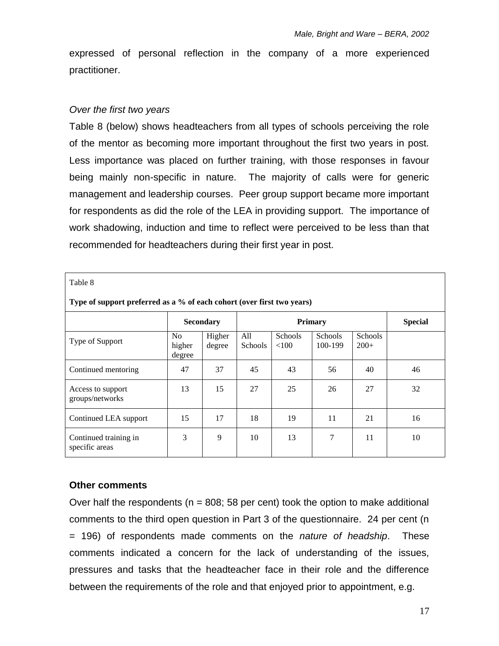expressed of personal reflection in the company of a more experienced practitioner.

#### *Over the first two years*

Table 8 (below) shows headteachers from all types of schools perceiving the role of the mentor as becoming more important throughout the first two years in post. Less importance was placed on further training, with those responses in favour being mainly non-specific in nature. The majority of calls were for generic management and leadership courses. Peer group support became more important for respondents as did the role of the LEA in providing support. The importance of work shadowing, induction and time to reflect were perceived to be less than that recommended for headteachers during their first year in post.

| Table 8                                                                |                                    |                  |                       |                         |                           |                          |                |  |  |  |  |  |
|------------------------------------------------------------------------|------------------------------------|------------------|-----------------------|-------------------------|---------------------------|--------------------------|----------------|--|--|--|--|--|
| Type of support preferred as a % of each cohort (over first two years) |                                    |                  |                       |                         |                           |                          |                |  |  |  |  |  |
|                                                                        |                                    | <b>Secondary</b> |                       | <b>Primary</b>          |                           |                          | <b>Special</b> |  |  |  |  |  |
| Type of Support                                                        | N <sub>o</sub><br>higher<br>degree | Higher<br>degree | All<br><b>Schools</b> | <b>Schools</b><br>< 100 | <b>Schools</b><br>100-199 | <b>Schools</b><br>$200+$ |                |  |  |  |  |  |
| Continued mentoring                                                    | 47                                 | 37               | 45                    | 43                      | 56                        | 40                       | 46             |  |  |  |  |  |
| Access to support<br>groups/networks                                   | 13                                 | 15               | 27                    | 25                      | 26                        | 27                       | 32             |  |  |  |  |  |
| Continued LEA support                                                  | 15                                 | 17               | 18                    | 19                      | 11                        | 21                       | 16             |  |  |  |  |  |
| Continued training in<br>specific areas                                | 3                                  | 9                | 10                    | 13                      | $\overline{7}$            | 11                       | 10             |  |  |  |  |  |

#### **Other comments**

Over half the respondents ( $n = 808$ ; 58 per cent) took the option to make additional comments to the third open question in Part 3 of the questionnaire. 24 per cent (n = 196) of respondents made comments on the *nature of headship*. These comments indicated a concern for the lack of understanding of the issues, pressures and tasks that the headteacher face in their role and the difference between the requirements of the role and that enjoyed prior to appointment, e.g.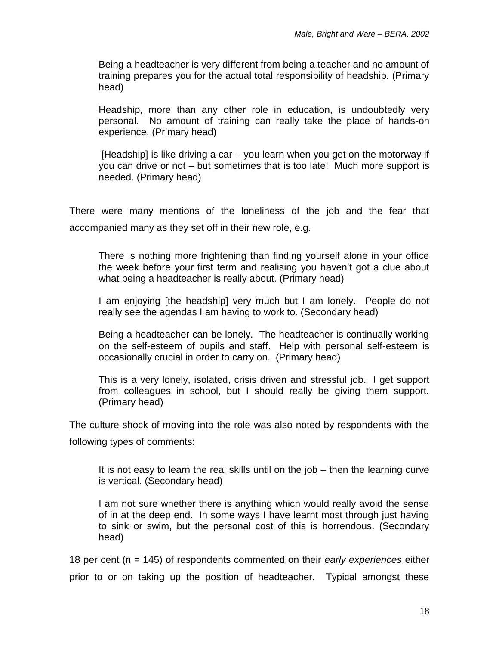Being a headteacher is very different from being a teacher and no amount of training prepares you for the actual total responsibility of headship. (Primary head)

Headship, more than any other role in education, is undoubtedly very personal. No amount of training can really take the place of hands-on experience. (Primary head)

[Headship] is like driving a car – you learn when you get on the motorway if you can drive or not – but sometimes that is too late! Much more support is needed. (Primary head)

There were many mentions of the loneliness of the job and the fear that accompanied many as they set off in their new role, e.g.

There is nothing more frightening than finding yourself alone in your office the week before your first term and realising you haven't got a clue about what being a headteacher is really about. (Primary head)

I am enjoying [the headship] very much but I am lonely. People do not really see the agendas I am having to work to. (Secondary head)

Being a headteacher can be lonely. The headteacher is continually working on the self-esteem of pupils and staff. Help with personal self-esteem is occasionally crucial in order to carry on. (Primary head)

This is a very lonely, isolated, crisis driven and stressful job. I get support from colleagues in school, but I should really be giving them support. (Primary head)

The culture shock of moving into the role was also noted by respondents with the following types of comments:

It is not easy to learn the real skills until on the job – then the learning curve is vertical. (Secondary head)

I am not sure whether there is anything which would really avoid the sense of in at the deep end. In some ways I have learnt most through just having to sink or swim, but the personal cost of this is horrendous. (Secondary head)

18 per cent (n = 145) of respondents commented on their *early experiences* either prior to or on taking up the position of headteacher. Typical amongst these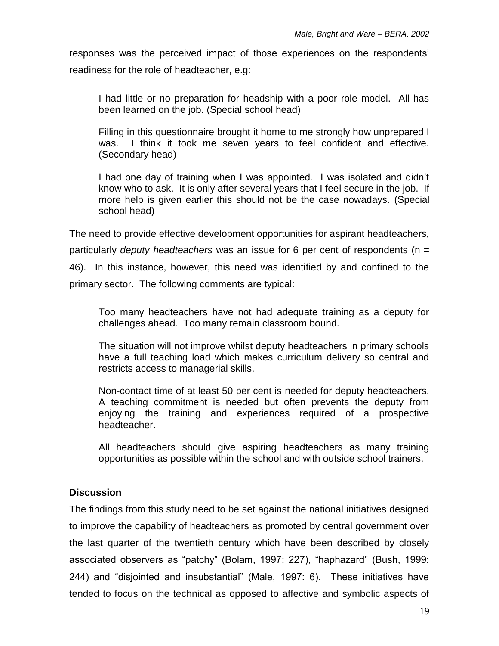responses was the perceived impact of those experiences on the respondents' readiness for the role of headteacher, e.g:

I had little or no preparation for headship with a poor role model. All has been learned on the job. (Special school head)

Filling in this questionnaire brought it home to me strongly how unprepared I was. I think it took me seven years to feel confident and effective. (Secondary head)

I had one day of training when I was appointed. I was isolated and didn't know who to ask. It is only after several years that I feel secure in the job. If more help is given earlier this should not be the case nowadays*.* (Special school head)

The need to provide effective development opportunities for aspirant headteachers, particularly *deputy headteachers* was an issue for 6 per cent of respondents (n = 46). In this instance, however, this need was identified by and confined to the primary sector. The following comments are typical:

Too many headteachers have not had adequate training as a deputy for challenges ahead. Too many remain classroom bound.

The situation will not improve whilst deputy headteachers in primary schools have a full teaching load which makes curriculum delivery so central and restricts access to managerial skills.

Non-contact time of at least 50 per cent is needed for deputy headteachers. A teaching commitment is needed but often prevents the deputy from enjoying the training and experiences required of a prospective headteacher.

All headteachers should give aspiring headteachers as many training opportunities as possible within the school and with outside school trainers.

# **Discussion**

The findings from this study need to be set against the national initiatives designed to improve the capability of headteachers as promoted by central government over the last quarter of the twentieth century which have been described by closely associated observers as "patchy" (Bolam, 1997: 227), "haphazard" (Bush, 1999: 244) and "disjointed and insubstantial" (Male, 1997: 6). These initiatives have tended to focus on the technical as opposed to affective and symbolic aspects of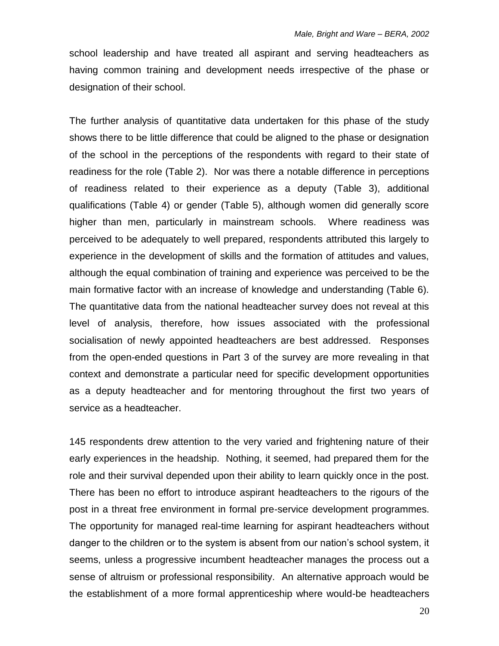school leadership and have treated all aspirant and serving headteachers as having common training and development needs irrespective of the phase or designation of their school.

The further analysis of quantitative data undertaken for this phase of the study shows there to be little difference that could be aligned to the phase or designation of the school in the perceptions of the respondents with regard to their state of readiness for the role (Table 2). Nor was there a notable difference in perceptions of readiness related to their experience as a deputy (Table 3), additional qualifications (Table 4) or gender (Table 5), although women did generally score higher than men, particularly in mainstream schools. Where readiness was perceived to be adequately to well prepared, respondents attributed this largely to experience in the development of skills and the formation of attitudes and values, although the equal combination of training and experience was perceived to be the main formative factor with an increase of knowledge and understanding (Table 6). The quantitative data from the national headteacher survey does not reveal at this level of analysis, therefore, how issues associated with the professional socialisation of newly appointed headteachers are best addressed. Responses from the open-ended questions in Part 3 of the survey are more revealing in that context and demonstrate a particular need for specific development opportunities as a deputy headteacher and for mentoring throughout the first two years of service as a headteacher.

145 respondents drew attention to the very varied and frightening nature of their early experiences in the headship. Nothing, it seemed, had prepared them for the role and their survival depended upon their ability to learn quickly once in the post. There has been no effort to introduce aspirant headteachers to the rigours of the post in a threat free environment in formal pre-service development programmes. The opportunity for managed real-time learning for aspirant headteachers without danger to the children or to the system is absent from our nation's school system, it seems, unless a progressive incumbent headteacher manages the process out a sense of altruism or professional responsibility. An alternative approach would be the establishment of a more formal apprenticeship where would-be headteachers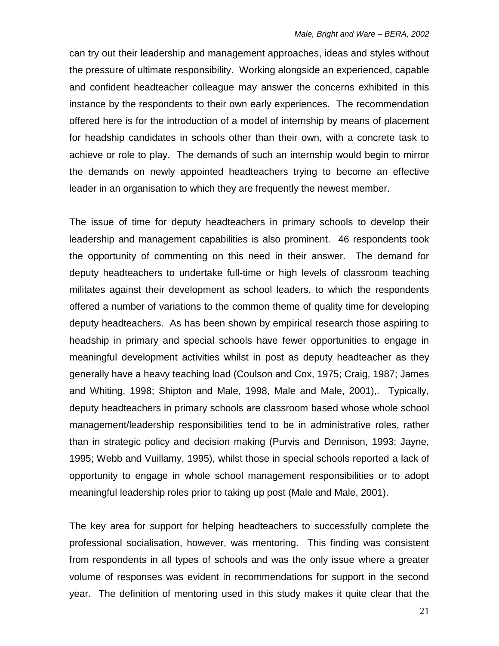can try out their leadership and management approaches, ideas and styles without the pressure of ultimate responsibility. Working alongside an experienced, capable and confident headteacher colleague may answer the concerns exhibited in this instance by the respondents to their own early experiences. The recommendation offered here is for the introduction of a model of internship by means of placement for headship candidates in schools other than their own, with a concrete task to achieve or role to play. The demands of such an internship would begin to mirror the demands on newly appointed headteachers trying to become an effective leader in an organisation to which they are frequently the newest member.

The issue of time for deputy headteachers in primary schools to develop their leadership and management capabilities is also prominent. 46 respondents took the opportunity of commenting on this need in their answer. The demand for deputy headteachers to undertake full-time or high levels of classroom teaching militates against their development as school leaders, to which the respondents offered a number of variations to the common theme of quality time for developing deputy headteachers. As has been shown by empirical research those aspiring to headship in primary and special schools have fewer opportunities to engage in meaningful development activities whilst in post as deputy headteacher as they generally have a heavy teaching load (Coulson and Cox, 1975; Craig, 1987; James and Whiting, 1998; Shipton and Male, 1998, Male and Male, 2001),. Typically, deputy headteachers in primary schools are classroom based whose whole school management/leadership responsibilities tend to be in administrative roles, rather than in strategic policy and decision making (Purvis and Dennison, 1993; Jayne, 1995; Webb and Vuillamy, 1995), whilst those in special schools reported a lack of opportunity to engage in whole school management responsibilities or to adopt meaningful leadership roles prior to taking up post (Male and Male, 2001).

The key area for support for helping headteachers to successfully complete the professional socialisation, however, was mentoring. This finding was consistent from respondents in all types of schools and was the only issue where a greater volume of responses was evident in recommendations for support in the second year. The definition of mentoring used in this study makes it quite clear that the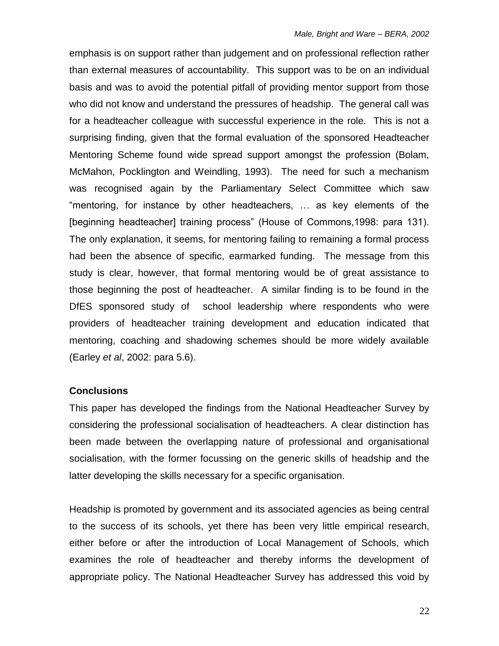emphasis is on support rather than judgement and on professional reflection rather than external measures of accountability. This support was to be on an individual basis and was to avoid the potential pitfall of providing mentor support from those who did not know and understand the pressures of headship. The general call was for a headteacher colleague with successful experience in the role. This is not a surprising finding, given that the formal evaluation of the sponsored Headteacher Mentoring Scheme found wide spread support amongst the profession (Bolam, McMahon, Pocklington and Weindling, 1993). The need for such a mechanism was recognised again by the Parliamentary Select Committee which saw "mentoring, for instance by other headteachers, … as key elements of the [beginning headteacher] training process" (House of Commons,1998: para 131). The only explanation, it seems, for mentoring failing to remaining a formal process had been the absence of specific, earmarked funding. The message from this study is clear, however, that formal mentoring would be of great assistance to those beginning the post of headteacher. A similar finding is to be found in the DfES sponsored study of school leadership where respondents who were providers of headteacher training development and education indicated that mentoring, coaching and shadowing schemes should be more widely available (Earley *et al*, 2002: para 5.6).

#### **Conclusions**

This paper has developed the findings from the National Headteacher Survey by considering the professional socialisation of headteachers. A clear distinction has been made between the overlapping nature of professional and organisational socialisation, with the former focussing on the generic skills of headship and the latter developing the skills necessary for a specific organisation.

Headship is promoted by government and its associated agencies as being central to the success of its schools, yet there has been very little empirical research, either before or after the introduction of Local Management of Schools, which examines the role of headteacher and thereby informs the development of appropriate policy. The National Headteacher Survey has addressed this void by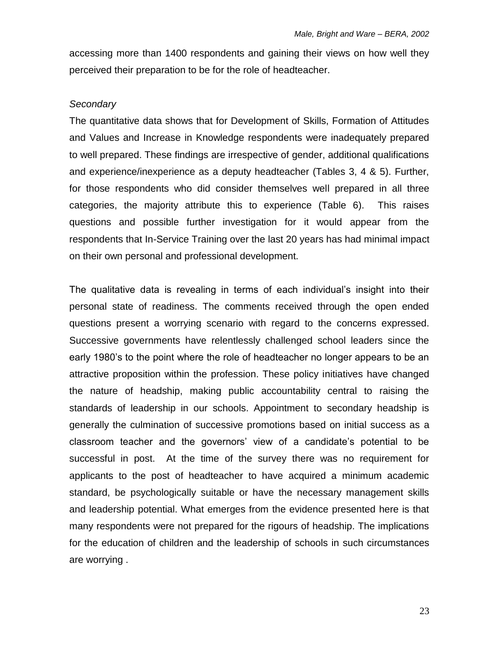accessing more than 1400 respondents and gaining their views on how well they perceived their preparation to be for the role of headteacher.

#### *Secondary*

The quantitative data shows that for Development of Skills, Formation of Attitudes and Values and Increase in Knowledge respondents were inadequately prepared to well prepared. These findings are irrespective of gender, additional qualifications and experience/inexperience as a deputy headteacher (Tables 3, 4 & 5). Further, for those respondents who did consider themselves well prepared in all three categories, the majority attribute this to experience (Table 6). This raises questions and possible further investigation for it would appear from the respondents that In-Service Training over the last 20 years has had minimal impact on their own personal and professional development.

The qualitative data is revealing in terms of each individual's insight into their personal state of readiness. The comments received through the open ended questions present a worrying scenario with regard to the concerns expressed. Successive governments have relentlessly challenged school leaders since the early 1980's to the point where the role of headteacher no longer appears to be an attractive proposition within the profession. These policy initiatives have changed the nature of headship, making public accountability central to raising the standards of leadership in our schools. Appointment to secondary headship is generally the culmination of successive promotions based on initial success as a classroom teacher and the governors' view of a candidate's potential to be successful in post. At the time of the survey there was no requirement for applicants to the post of headteacher to have acquired a minimum academic standard, be psychologically suitable or have the necessary management skills and leadership potential. What emerges from the evidence presented here is that many respondents were not prepared for the rigours of headship. The implications for the education of children and the leadership of schools in such circumstances are worrying .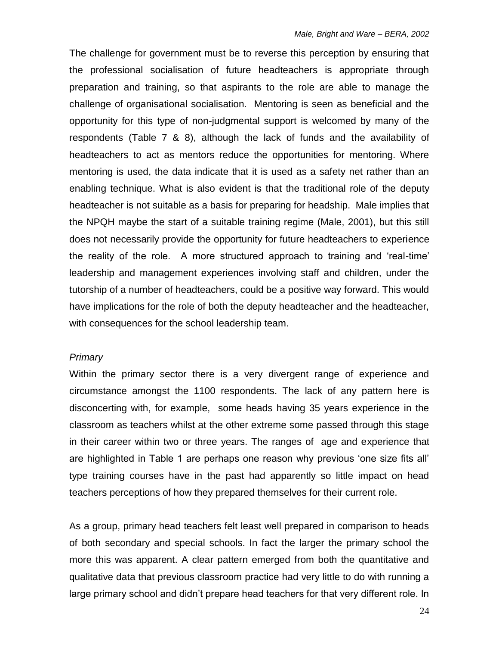The challenge for government must be to reverse this perception by ensuring that the professional socialisation of future headteachers is appropriate through preparation and training, so that aspirants to the role are able to manage the challenge of organisational socialisation. Mentoring is seen as beneficial and the opportunity for this type of non-judgmental support is welcomed by many of the respondents (Table 7 & 8), although the lack of funds and the availability of headteachers to act as mentors reduce the opportunities for mentoring. Where mentoring is used, the data indicate that it is used as a safety net rather than an enabling technique. What is also evident is that the traditional role of the deputy headteacher is not suitable as a basis for preparing for headship. Male implies that the NPQH maybe the start of a suitable training regime (Male, 2001), but this still does not necessarily provide the opportunity for future headteachers to experience the reality of the role. A more structured approach to training and 'real-time' leadership and management experiences involving staff and children, under the tutorship of a number of headteachers, could be a positive way forward. This would have implications for the role of both the deputy headteacher and the headteacher, with consequences for the school leadership team.

#### *Primary*

Within the primary sector there is a very divergent range of experience and circumstance amongst the 1100 respondents. The lack of any pattern here is disconcerting with, for example, some heads having 35 years experience in the classroom as teachers whilst at the other extreme some passed through this stage in their career within two or three years. The ranges of age and experience that are highlighted in Table 1 are perhaps one reason why previous 'one size fits all' type training courses have in the past had apparently so little impact on head teachers perceptions of how they prepared themselves for their current role.

As a group, primary head teachers felt least well prepared in comparison to heads of both secondary and special schools. In fact the larger the primary school the more this was apparent. A clear pattern emerged from both the quantitative and qualitative data that previous classroom practice had very little to do with running a large primary school and didn't prepare head teachers for that very different role. In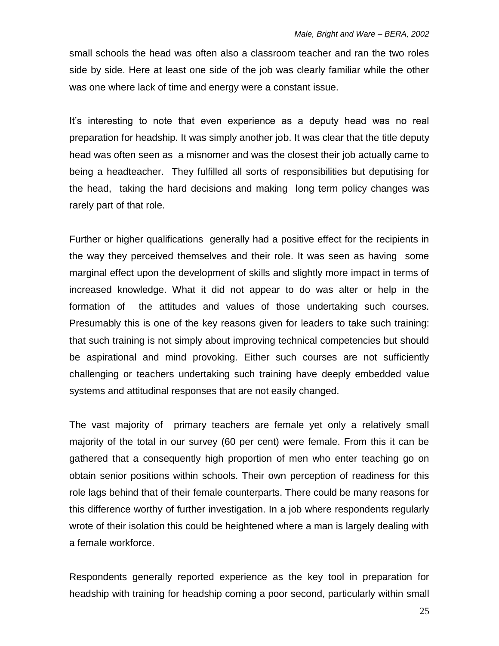small schools the head was often also a classroom teacher and ran the two roles side by side. Here at least one side of the job was clearly familiar while the other was one where lack of time and energy were a constant issue.

It's interesting to note that even experience as a deputy head was no real preparation for headship. It was simply another job. It was clear that the title deputy head was often seen as a misnomer and was the closest their job actually came to being a headteacher. They fulfilled all sorts of responsibilities but deputising for the head, taking the hard decisions and making long term policy changes was rarely part of that role.

Further or higher qualifications generally had a positive effect for the recipients in the way they perceived themselves and their role. It was seen as having some marginal effect upon the development of skills and slightly more impact in terms of increased knowledge. What it did not appear to do was alter or help in the formation of the attitudes and values of those undertaking such courses. Presumably this is one of the key reasons given for leaders to take such training: that such training is not simply about improving technical competencies but should be aspirational and mind provoking. Either such courses are not sufficiently challenging or teachers undertaking such training have deeply embedded value systems and attitudinal responses that are not easily changed.

The vast majority of primary teachers are female yet only a relatively small majority of the total in our survey (60 per cent) were female. From this it can be gathered that a consequently high proportion of men who enter teaching go on obtain senior positions within schools. Their own perception of readiness for this role lags behind that of their female counterparts. There could be many reasons for this difference worthy of further investigation. In a job where respondents regularly wrote of their isolation this could be heightened where a man is largely dealing with a female workforce.

Respondents generally reported experience as the key tool in preparation for headship with training for headship coming a poor second, particularly within small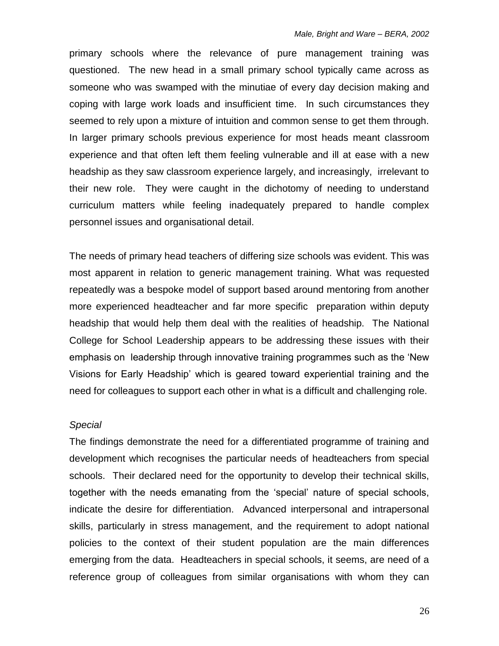primary schools where the relevance of pure management training was questioned. The new head in a small primary school typically came across as someone who was swamped with the minutiae of every day decision making and coping with large work loads and insufficient time. In such circumstances they seemed to rely upon a mixture of intuition and common sense to get them through. In larger primary schools previous experience for most heads meant classroom experience and that often left them feeling vulnerable and ill at ease with a new headship as they saw classroom experience largely, and increasingly, irrelevant to their new role. They were caught in the dichotomy of needing to understand curriculum matters while feeling inadequately prepared to handle complex personnel issues and organisational detail.

The needs of primary head teachers of differing size schools was evident. This was most apparent in relation to generic management training. What was requested repeatedly was a bespoke model of support based around mentoring from another more experienced headteacher and far more specific preparation within deputy headship that would help them deal with the realities of headship. The National College for School Leadership appears to be addressing these issues with their emphasis on leadership through innovative training programmes such as the 'New Visions for Early Headship' which is geared toward experiential training and the need for colleagues to support each other in what is a difficult and challenging role.

#### *Special*

The findings demonstrate the need for a differentiated programme of training and development which recognises the particular needs of headteachers from special schools. Their declared need for the opportunity to develop their technical skills, together with the needs emanating from the 'special' nature of special schools, indicate the desire for differentiation. Advanced interpersonal and intrapersonal skills, particularly in stress management, and the requirement to adopt national policies to the context of their student population are the main differences emerging from the data. Headteachers in special schools, it seems, are need of a reference group of colleagues from similar organisations with whom they can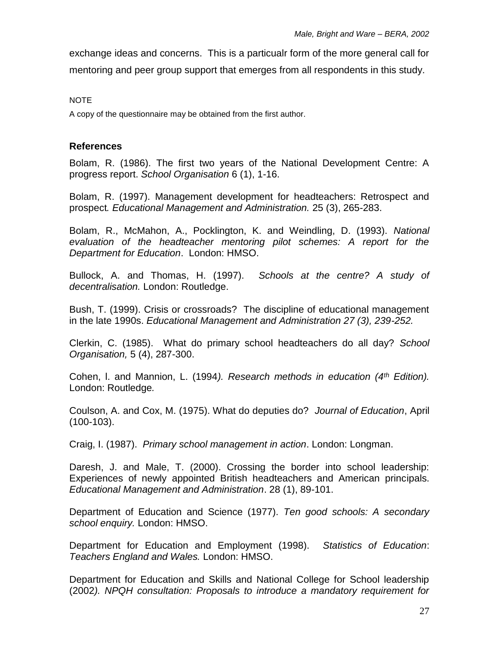exchange ideas and concerns. This is a particualr form of the more general call for mentoring and peer group support that emerges from all respondents in this study.

NOTE

A copy of the questionnaire may be obtained from the first author.

### **References**

Bolam, R. (1986). The first two years of the National Development Centre: A progress report. *School Organisation* 6 (1), 1-16.

Bolam, R. (1997). Management development for headteachers: Retrospect and prospect*. Educational Management and Administration.* 25 (3), 265-283.

Bolam, R., McMahon, A., Pocklington, K. and Weindling, D. (1993). *National evaluation of the headteacher mentoring pilot schemes: A report for the Department for Education*. London: HMSO.

Bullock, A. and Thomas, H. (1997). *Schools at the centre? A study of decentralisation.* London: Routledge.

Bush, T. (1999). Crisis or crossroads? The discipline of educational management in the late 1990s. *Educational Management and Administration 27 (3), 239-252.*

Clerkin, C. (1985). What do primary school headteachers do all day? *School Organisation,* 5 (4), 287-300.

Cohen, l. and Mannion, L. (1994*). Research methods in education (4th Edition).*  London: Routledge*.*

Coulson, A. and Cox, M. (1975). What do deputies do? *Journal of Education*, April (100-103).

Craig, I. (1987). *Primary school management in action*. London: Longman.

Daresh, J. and Male, T. (2000). Crossing the border into school leadership: Experiences of newly appointed British headteachers and American principals. *Educational Management and Administration*. 28 (1), 89-101.

Department of Education and Science (1977). *Ten good schools: A secondary school enquiry.* London: HMSO.

Department for Education and Employment (1998). *Statistics of Education*: *Teachers England and Wales.* London: HMSO.

Department for Education and Skills and National College for School leadership (2002*). NPQH consultation: Proposals to introduce a mandatory requirement for*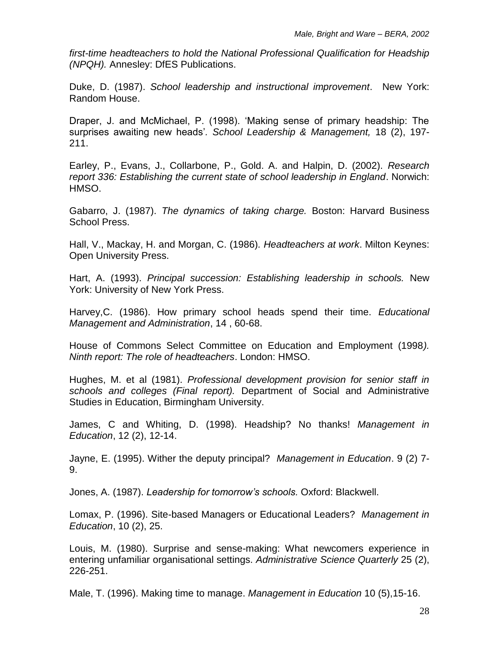*first-time headteachers to hold the National Professional Qualification for Headship (NPQH).* Annesley: DfES Publications.

Duke, D. (1987). *School leadership and instructional improvement*. New York: Random House.

Draper, J. and McMichael, P. (1998). 'Making sense of primary headship: The surprises awaiting new heads'*. School Leadership & Management,* 18 (2), 197- 211.

Earley, P., Evans, J., Collarbone, P., Gold. A. and Halpin, D. (2002). *Research report 336: Establishing the current state of school leadership in England*. Norwich: HMSO.

Gabarro, J. (1987). *The dynamics of taking charge.* Boston: Harvard Business School Press.

Hall, V., Mackay, H. and Morgan, C. (1986)*. Headteachers at work*. Milton Keynes: Open University Press.

Hart, A. (1993). *Principal succession: Establishing leadership in schools.* New York: University of New York Press.

Harvey,C. (1986). How primary school heads spend their time. *Educational Management and Administration*, 14 , 60-68.

House of Commons Select Committee on Education and Employment (1998*). Ninth report: The role of headteachers*. London: HMSO.

Hughes, M. et al (1981). *Professional development provision for senior staff in schools and colleges (Final report).* Department of Social and Administrative Studies in Education, Birmingham University.

James, C and Whiting, D. (1998). Headship? No thanks! *Management in Education*, 12 (2), 12-14.

Jayne, E. (1995). Wither the deputy principal? *Management in Education*. 9 (2) 7- 9.

Jones, A. (1987). *Leadership for tomorrow's schools.* Oxford: Blackwell.

Lomax, P. (1996). Site-based Managers or Educational Leaders? *Management in Education*, 10 (2), 25.

Louis, M. (1980). Surprise and sense-making: What newcomers experience in entering unfamiliar organisational settings. *Administrative Science Quarterly* 25 (2), 226-251.

Male, T. (1996). Making time to manage. *Management in Education* 10 (5),15-16.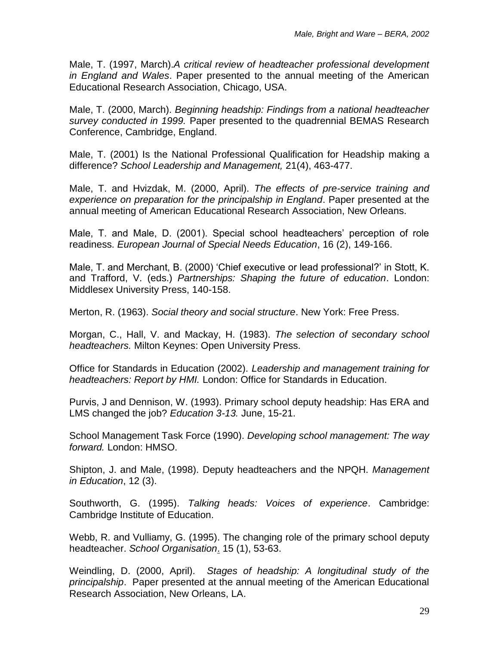Male, T. (1997, March).*A critical review of headteacher professional development in England and Wales*. Paper presented to the annual meeting of the American Educational Research Association, Chicago, USA.

Male, T. (2000, March). *Beginning headship: Findings from a national headteacher survey conducted in 1999.* Paper presented to the quadrennial BEMAS Research Conference, Cambridge, England.

Male, T. (2001) Is the National Professional Qualification for Headship making a difference? *School Leadership and Management,* 21(4), 463-477.

Male, T. and Hvizdak, M. (2000, April). *The effects of pre-service training and experience on preparation for the principalship in England*. Paper presented at the annual meeting of American Educational Research Association, New Orleans.

Male, T. and Male, D. (2001). Special school headteachers' perception of role readiness. *European Journal of Special Needs Education*, 16 (2), 149-166.

Male, T. and Merchant, B. (2000) 'Chief executive or lead professional?' in Stott, K. and Trafford, V. (eds.) *Partnerships: Shaping the future of education*. London: Middlesex University Press, 140-158.

Merton, R. (1963). *Social theory and social structure*. New York: Free Press.

Morgan, C., Hall, V. and Mackay, H. (1983). *The selection of secondary school headteachers.* Milton Keynes: Open University Press.

Office for Standards in Education (2002). *Leadership and management training for headteachers: Report by HMI.* London: Office for Standards in Education.

Purvis, J and Dennison, W. (1993). Primary school deputy headship: Has ERA and LMS changed the job? *Education 3-13.* June, 15-21.

School Management Task Force (1990). *Developing school management: The way forward.* London: HMSO.

Shipton, J. and Male, (1998). Deputy headteachers and the NPQH. *Management in Education*, 12 (3).

Southworth, G. (1995). *Talking heads: Voices of experience*. Cambridge: Cambridge Institute of Education.

Webb, R. and Vulliamy, G. (1995). The changing role of the primary school deputy headteacher. *School Organisation*. 15 (1), 53-63.

Weindling, D. (2000, April). *Stages of headship: A longitudinal study of the principalship*. Paper presented at the annual meeting of the American Educational Research Association, New Orleans, LA.